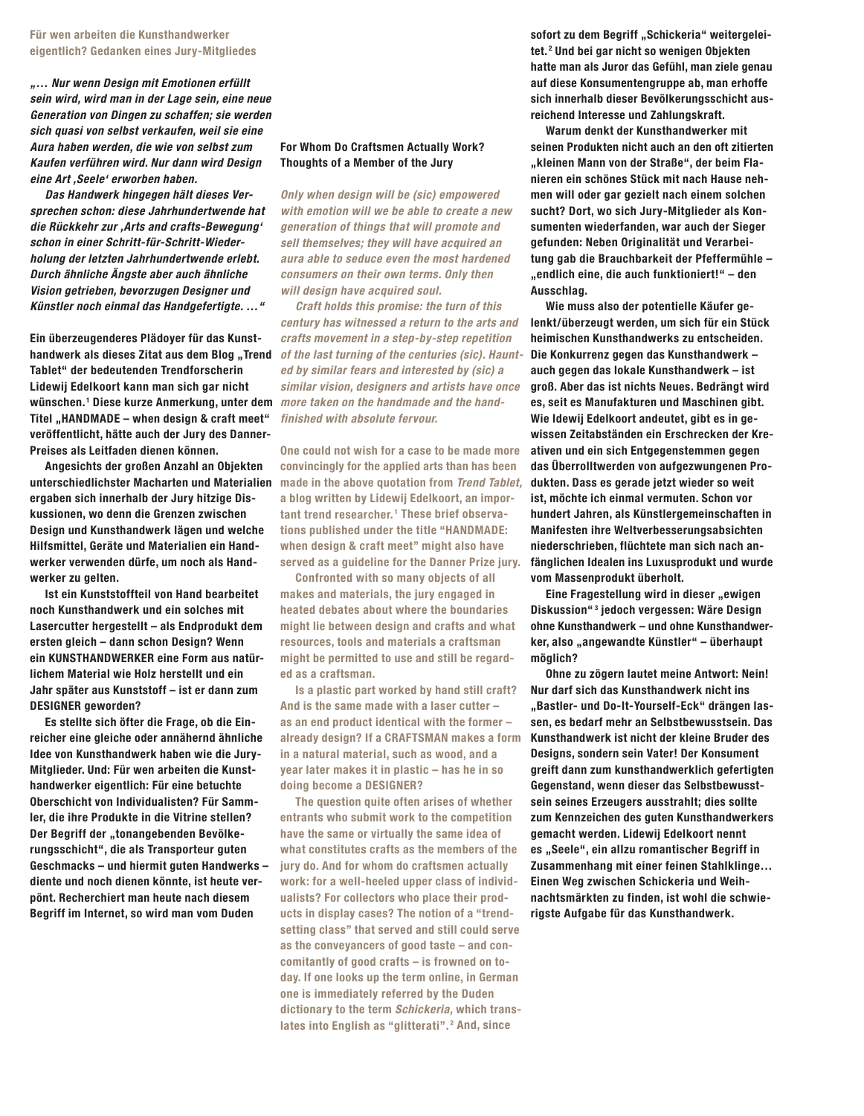## **Für wen arbeiten die Kunsthandwerker eigentlich? Gedanken eines Jury-Mitgliedes**

*"… Nur wenn Design mit Emotionen erfüllt sein wird, wird man in der Lage sein, eine neue Generation von Dingen zu schaffen; sie werden sich quasi von selbst verkaufen, weil sie eine Aura haben werden, die wie von selbst zum Kaufen verführen wird. Nur dann wird Design eine Art ,Seele' erworben haben.*

*Das Handwerk hingegen hält dieses Versprechen schon: diese Jahrhundertwende hat die Rückkehr zur ,Arts and crafts-Bewegung' schon in einer Schritt-für-Schritt-Wiederholung der letzten Jahrhundertwende erlebt. Durch ähnliche Ängste aber auch ähnliche Vision getrieben, bevorzugen Designer und Künstler noch einmal das Handgefertigte. …"*

**Ein überzeugenderes Plädoyer für das Kunst-Tablet" der bedeutenden Trendforscherin Lidewij Edelkoort kann man sich gar nicht wünschen. <sup>1</sup> Diese kurze Anmerkung, unter dem**  Titel "HANDMADE – when design & craft meet" **veröffentlicht, hätte auch der Jury des Danner-Preises als Leitfaden dienen können.** 

**Angesichts der großen Anzahl an Objekten ergaben sich innerhalb der Jury hitzige Diskussionen, wo denn die Grenzen zwischen Design und Kunsthandwerk lägen und welche Hilfsmittel, Geräte und Materialien ein Handwerker verwenden dürfe, um noch als Handwerker zu gelten.**

**Ist ein Kunststoffteil von Hand bearbeitet noch Kunsthandwerk und ein solches mit Lasercutter hergestellt – als Endprodukt dem ersten gleich – dann schon Design? Wenn ein KUNSTHANDWERKER eine Form aus natürlichem Material wie Holz herstellt und ein Jahr später aus Kunststoff – ist er dann zum DESIGNER geworden?**

**Es stellte sich öfter die Frage, ob die Einreicher eine gleiche oder annähernd ähnliche Idee von Kunsthandwerk haben wie die Jury-Mitglieder. Und: Für wen arbeiten die Kunsthandwerker eigentlich: Für eine betuchte Oberschicht von Individualisten? Für Sammler, die ihre Produkte in die Vitrine stellen?**  Der Begriff der "tonangebenden Bevölke**rungsschicht", die als Transporteur guten Geschmacks – und hiermit guten Handwerks – diente und noch dienen könnte, ist heute verpönt. Recherchiert man heute nach diesem Begriff im Internet, so wird man vom Duden** 

## **For Whom Do Craftsmen Actually Work? Thoughts of a Member of the Jury**

*Only when design will be (sic) empowered with emotion will we be able to create a new generation of things that will promote and sell themselves; they will have acquired an aura able to seduce even the most hardened consumers on their own terms. Only then will design have acquired soul.*

handwerk als dieses Zitat aus dem Blog "Trend of the last turning of the centuries (sic). Haunt-*Craft holds this promise: the turn of this century has witnessed a return to the arts and crafts movement in a step-by-step repetition ed by similar fears and interested by (sic) a similar vision, designers and artists have once more taken on the handmade and the handfinished with absolute fervour.* 

**unterschiedlichster Macharten und Materialien made in the above quotation from** *Trend Tablet,* **One could not wish for a case to be made more convincingly for the applied arts than has been a blog written by Lidewij Edelkoort, an important trend researcher. <sup>1</sup> These brief observations published under the title "HANDMADE: when design & craft meet" might also have served as a guideline for the Danner Prize jury.**

> **Confronted with so many objects of all makes and materials, the jury engaged in heated debates about where the boundaries might lie between design and crafts and what resources, tools and materials a craftsman might be permitted to use and still be regarded as a craftsman.**

**Is a plastic part worked by hand still craft? And is the same made with a laser cutter – as an end product identical with the former – already design? If a CRAFTSMAN makes a form in a natural material, such as wood, and a year later makes it in plastic – has he in so doing become a DESIGNER?**

**The question quite often arises of whether entrants who submit work to the competition have the same or virtually the same idea of what constitutes crafts as the members of the jury do. And for whom do craftsmen actually work: for a well-heeled upper class of individualists? For collectors who place their products in display cases? The notion of a "trendsetting class" that served and still could serve as the conveyancers of good taste – and concomitantly of good crafts – is frowned on today. If one looks up the term online, in German one is immediately referred by the Duden dictionary to the term** *Schickeria,* **which translates into English as "glitterati". <sup>2</sup> And, since** 

sofort zu dem Begriff "Schickeria" weitergelei**tet. <sup>2</sup> Und bei gar nicht so wenigen Objekten hatte man als Juror das Gefühl, man ziele genau auf diese Konsumentengruppe ab, man erhoffe sich innerhalb dieser Bevölkerungsschicht ausreichend Interesse und Zahlungskraft.**

**Warum denkt der Kunsthandwerker mit seinen Produkten nicht auch an den oft zitierten "kleinen Mann von der Straße", der beim Flanieren ein schönes Stück mit nach Hause nehmen will oder gar gezielt nach einem solchen sucht? Dort, wo sich Jury-Mitglieder als Konsumenten wiederfanden, war auch der Sieger gefunden: Neben Originalität und Verarbeitung gab die Brauchbarkeit der Pfeffermühle – "endlich eine, die auch funktioniert!" – den Ausschlag.**

**Wie muss also der potentielle Käufer gelenkt/überzeugt werden, um sich für ein Stück heimischen Kunsthandwerks zu entscheiden. Die Konkurrenz gegen das Kunsthandwerk – auch gegen das lokale Kunsthandwerk – ist groß. Aber das ist nichts Neues. Bedrängt wird es, seit es Manufakturen und Maschinen gibt. Wie Idewij Edelkoort andeutet, gibt es in gewissen Zeitabständen ein Erschrecken der Kreativen und ein sich Entgegenstemmen gegen das Überrolltwerden von aufgezwungenen Produkten. Dass es gerade jetzt wieder so weit ist, möchte ich einmal vermuten. Schon vor hundert Jahren, als Künstlergemeinschaften in Manifesten ihre Weltverbesserungsabsichten niederschrieben, flüchtete man sich nach anfänglichen Idealen ins Luxusprodukt und wurde vom Massenprodukt überholt.** 

**Eine Fragestellung wird in dieser "ewigen Diskussion" <sup>3</sup> jedoch vergessen: Wäre Design ohne Kunsthandwerk – und ohne Kunsthandwer**ker, also "angewandte Künstler" – überhaupt **möglich?**

**Ohne zu zögern lautet meine Antwort: Nein! Nur darf sich das Kunsthandwerk nicht ins "Bastler- und Do-It-Yourself-Eck" drängen lassen, es bedarf mehr an Selbstbewusstsein. Das Kunsthandwerk ist nicht der kleine Bruder des Designs, sondern sein Vater! Der Konsument greift dann zum kunsthandwerklich gefertigten Gegenstand, wenn dieser das Selbstbewusstsein seines Erzeugers ausstrahlt; dies sollte zum Kennzeichen des guten Kunsthandwerkers gemacht werden. Lidewij Edelkoort nennt es "Seele", ein allzu romantischer Begriff in Zusammenhang mit einer feinen Stahlklinge… Einen Weg zwischen Schickeria und Weihnachtsmärkten zu finden, ist wohl die schwierigste Aufgabe für das Kunsthandwerk.**